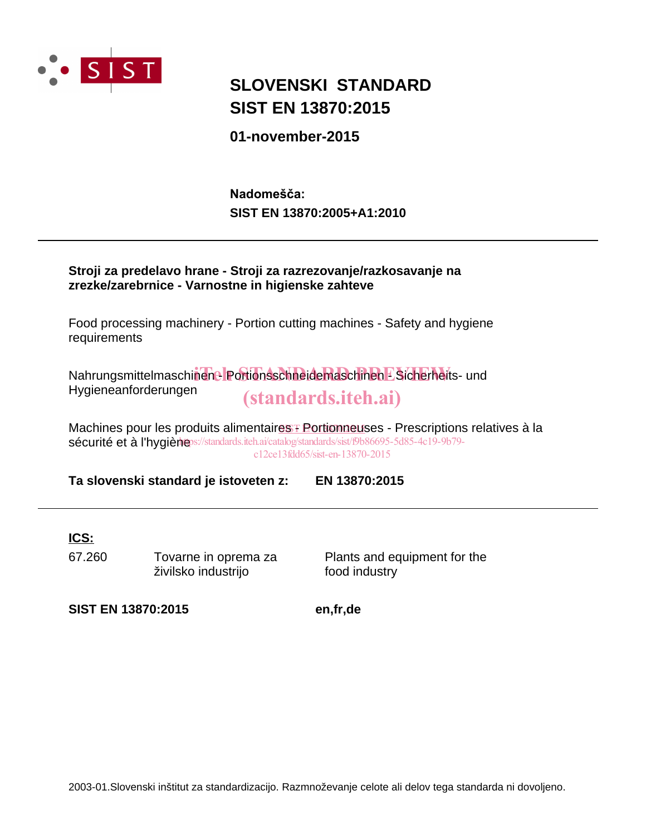

## **SIST EN 13870:2015 SLOVENSKI STANDARD**

**01-november-2015**

**SIST EN 13870:2005+A1:2010** Nadomešča:

| zrezke/zarebrnice - Varnostne in higienske zahteve | Stroji za predelavo hrane - Stroji za razrezovanje/razkosavanje na                                                                                                                                                      |
|----------------------------------------------------|-------------------------------------------------------------------------------------------------------------------------------------------------------------------------------------------------------------------------|
| requirements                                       | Food processing machinery - Portion cutting machines - Safety and hygiene                                                                                                                                               |
| Hygieneanforderungen                               | Nahrungsmittelmaschinene Portionsschneidemaschinen ESicherheits- und<br><i>(standards.iteh.ai)</i>                                                                                                                      |
|                                                    | Machines pour les produits alimentaires Fortionneuses - Prescriptions relatives à la<br>sécurité et à l'hygiène ://standards.iteh.ai/catalog/standards/sist/f9b86695-5d85-4c19-9b79-<br>c12ce13fdd65/sist-en-13870-2015 |

**Ta slovenski standard je istoveten z: EN 13870:2015**

### **ICS:**

67.260 Tovarne in oprema za živilsko industrijo

Plants and equipment for the food industry

**SIST EN 13870:2015 en,fr,de**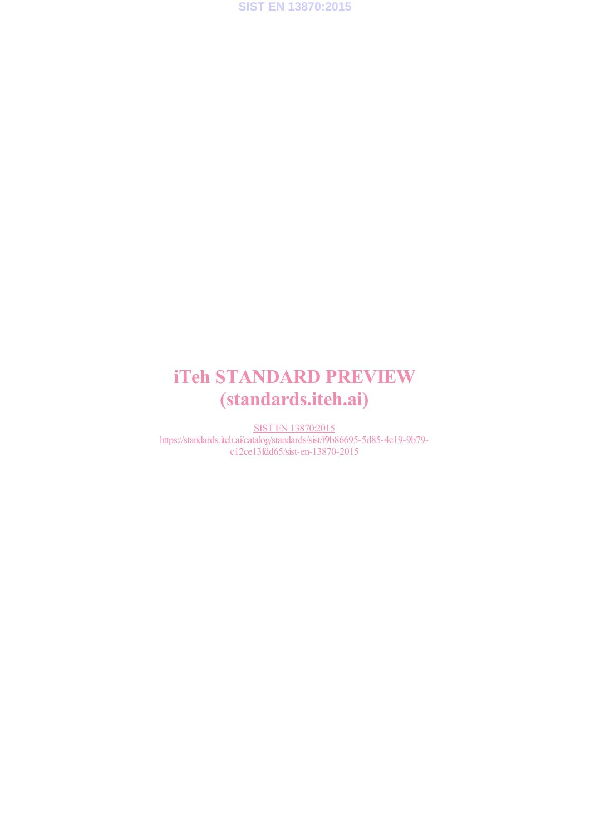

# iTeh STANDARD PREVIEW (standards.iteh.ai)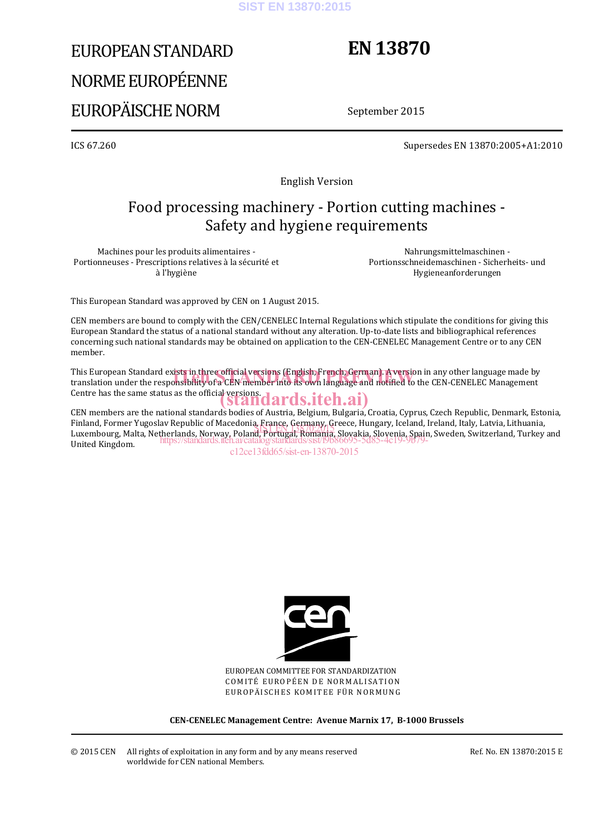#### **SIST EN 13870:2015**

# EUROPEAN STANDARD NORME EUROPÉENNE EUROPÄISCHE NORM

# **EN 13870**

September 2015

ICS 67.260 Supersedes EN 13870:2005+A1:2010

English Version

### Food processing machinery - Portion cutting machines - Safety and hygiene requirements

Machines pour les produits alimentaires - Portionneuses - Prescriptions relatives à la sécurité et à l'hygiène

Nahrungsmittelmaschinen - Portionsschneidemaschinen - Sicherheits- und Hygieneanforderungen

This European Standard was approved by CEN on 1 August 2015.

CEN members are bound to comply with the CEN/CENELEC Internal Regulations which stipulate the conditions for giving this European Standard the status of a national standard without any alteration. Up-to-date lists and bibliographical references concerning such national standards may be obtained on application to the CEN-CENELEC Management Centre or to any CEN member.

This European Standard exists in three official versions (English, French, German). A version in any other language made by This European Standard exists in three official versions (English, French, German). A version in any other language made by<br>translation under the responsibility of a CEN member into its own language and notified to the CEN Centre has the same status as the official versions.<br>
Standards.iteh.ai)

CEN members are the national standards bodies of Austria, Belgium, Bulgaria, Croatia, Cyprus, Czech Republic, Denmark, Estonia, Finland, Former Yugoslav Republic of Macedonia, France, Germany, Greece, Hungary, Iceland, Ireland, Italy, Latvia, Lithuania, rinianu, roriner Tugosiav Republic of Macedonia, France, Germany, Greece, Hungary, Iceland, Heland, Italy, Latvia, Lithuania,<br>Luxembourg, Malta, Netherlands, Norway, Poland, Portugal, Romania, Slovakia, Slovenia, Spain, Sw United Kingdom. https://standards.iteh.ai/catalog/standards/sist/f9b86695-5d85-4c19-9b79-

c12ce13fdd65/sist-en-13870-2015



EUROPEAN COMMITTEE FOR STANDARDIZATION COMITÉ EUROPÉEN DE NORMALISATION EUROPÄISCHES KOMITEE FÜR NORMUNG

**CEN-CENELEC Management Centre: Avenue Marnix 17, B-1000 Brussels**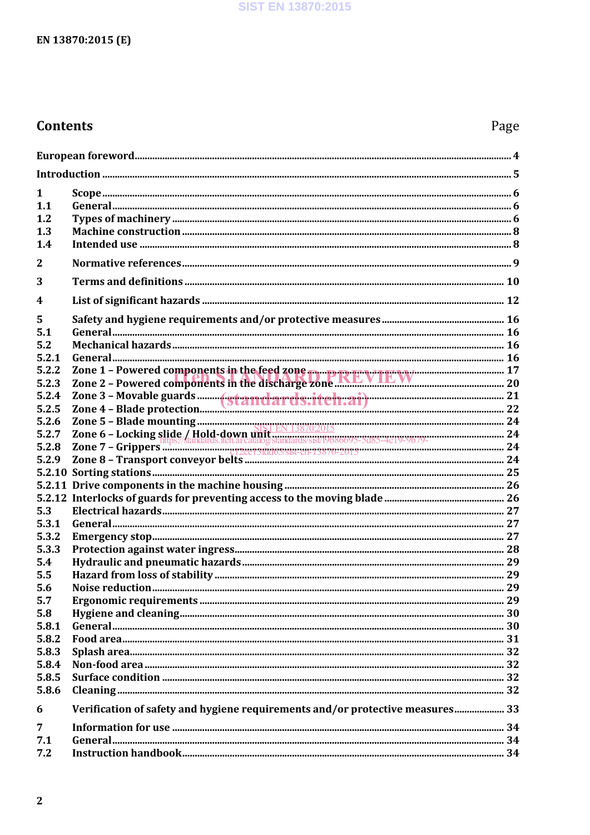### **Contents**

| 1                |                                                                                                                                                                                                                                |  |
|------------------|--------------------------------------------------------------------------------------------------------------------------------------------------------------------------------------------------------------------------------|--|
| 1.1              |                                                                                                                                                                                                                                |  |
| 1.2              |                                                                                                                                                                                                                                |  |
| 1.3              |                                                                                                                                                                                                                                |  |
| 1.4              |                                                                                                                                                                                                                                |  |
| $\mathbf{2}$     |                                                                                                                                                                                                                                |  |
| 3                |                                                                                                                                                                                                                                |  |
| $\boldsymbol{4}$ |                                                                                                                                                                                                                                |  |
| 5                |                                                                                                                                                                                                                                |  |
| 5.1              |                                                                                                                                                                                                                                |  |
| 5.2              |                                                                                                                                                                                                                                |  |
| 5.2.1            |                                                                                                                                                                                                                                |  |
| 5.2.2            | Zone 1 - Powered components in the feed zone <b>FREVIEW</b><br>Zone 2 - Powered components in the discharge zone <b>FREVIEW</b>                                                                                                |  |
| 5.2.3            |                                                                                                                                                                                                                                |  |
| 5.2.4            |                                                                                                                                                                                                                                |  |
| 5.2.5            |                                                                                                                                                                                                                                |  |
| 5.2.6            | EXTREMENT STRINGS SUITED AND THE STRINGS OF SALE CONTROL CONTROL CONTROL CONTROL CONTROL CONTROL CONTROL CONTROL CONTROL CONTROL CONTROL CONTROL CONTROL CONTROL CONTROL CONTROL CONTROL CONTROL CONTROL CONTROL CONTROL CONTR |  |
| 5.2.7            |                                                                                                                                                                                                                                |  |
| 5.2.8            |                                                                                                                                                                                                                                |  |
| 5.2.9            |                                                                                                                                                                                                                                |  |
|                  |                                                                                                                                                                                                                                |  |
|                  |                                                                                                                                                                                                                                |  |
|                  |                                                                                                                                                                                                                                |  |
| 5.3              |                                                                                                                                                                                                                                |  |
| 5.3.1            |                                                                                                                                                                                                                                |  |
| 5.3.2            |                                                                                                                                                                                                                                |  |
| 5.3.3            |                                                                                                                                                                                                                                |  |
| 5.4              |                                                                                                                                                                                                                                |  |
| 5.5              |                                                                                                                                                                                                                                |  |
| 5.6              |                                                                                                                                                                                                                                |  |
| 5.7              |                                                                                                                                                                                                                                |  |
| 5.8              |                                                                                                                                                                                                                                |  |
| 5.8.1            |                                                                                                                                                                                                                                |  |
| 5.8.2            |                                                                                                                                                                                                                                |  |
| 5.8.3            |                                                                                                                                                                                                                                |  |
| 5.8.4            |                                                                                                                                                                                                                                |  |
| 5.8.5            |                                                                                                                                                                                                                                |  |
| 5.8.6            |                                                                                                                                                                                                                                |  |
| 6                | Verification of safety and hygiene requirements and/or protective measures 33                                                                                                                                                  |  |
| 7                |                                                                                                                                                                                                                                |  |
| 7.1              |                                                                                                                                                                                                                                |  |
| 7.2              |                                                                                                                                                                                                                                |  |
|                  |                                                                                                                                                                                                                                |  |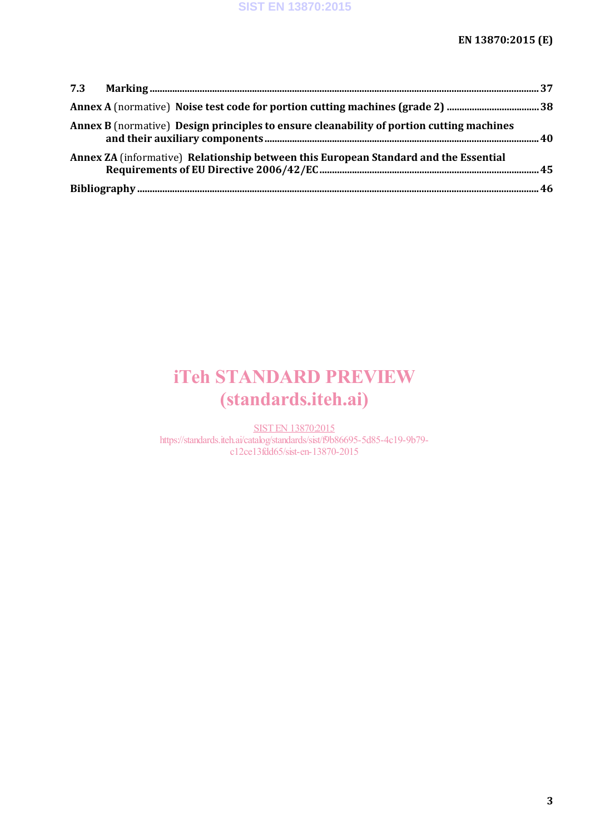| Annex B (normative) Design principles to ensure cleanability of portion cutting machines |  |
|------------------------------------------------------------------------------------------|--|
| Annex ZA (informative) Relationship between this European Standard and the Essential     |  |
|                                                                                          |  |

# iTeh STANDARD PREVIEW (standards.iteh.ai)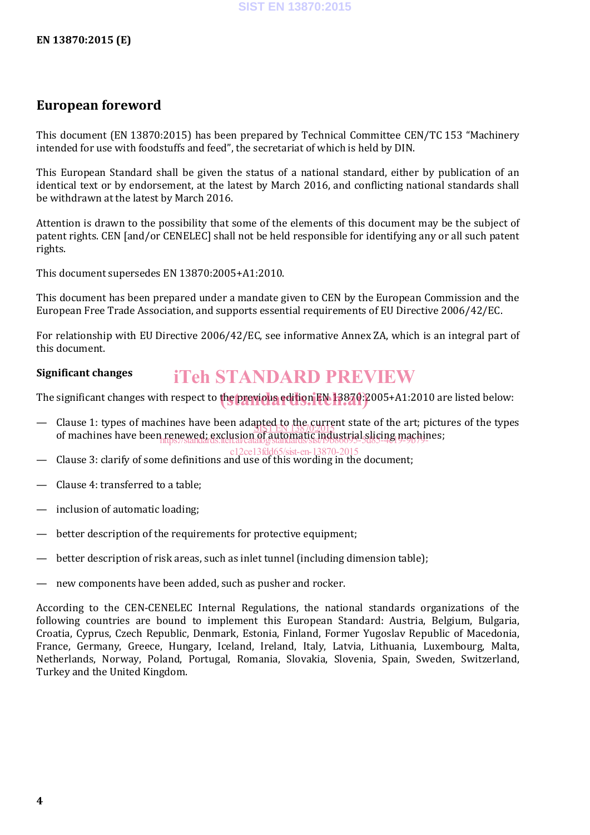### **European foreword**

This document (EN 13870:2015) has been prepared by Technical Committee CEN/TC 153 "Machinery intended for use with foodstuffs and feed", the secretariat of which is held by DIN.

This European Standard shall be given the status of a national standard, either by publication of an identical text or by endorsement, at the latest by March 2016, and conflicting national standards shall be withdrawn at the latest by March 2016.

Attention is drawn to the possibility that some of the elements of this document may be the subject of patent rights. CEN [and/or CENELEC] shall not be held responsible for identifying any or all such patent rights.

This document supersedes EN 13870:2005+A1:2010.

This document has been prepared under a mandate given to CEN by the European Commission and the European Free Trade Association, and supports essential requirements of EU Directive 2006/42/EC.

For relationship with EU Directive 2006/42/EC, see informative Annex ZA, which is an integral part of this document.

#### **Significant changes** iTeh STANDARD PREVIEW

The significant changes with respect to the previous edition EN 13870: 2005+A1:2010 are listed below:

- Clause 1: types of machines have been adapted to the current state of the art; pictures of the types of machines have been renewed; exclusion of automatic industrial slicing machines;<br>https://www.industrial.com/www.industrial.com/www.industrial.com/www.industrial.com/www.industrial.com/www.ind <u>SIST EN 13870:2015</u> https://standards.iteh.ai/catalog/standards/sist/f9b86695-5d85-4c19-9b79-
- Clause 3: clarify of some definitions and use of this wording in the document; c12ce13fdd65/sist-en-13870-2015
- Clause 4: transferred to a table;
- inclusion of automatic loading;
- better description of the requirements for protective equipment;
- better description of risk areas, such as inlet tunnel (including dimension table);
- new components have been added, such as pusher and rocker.

According to the CEN-CENELEC Internal Regulations, the national standards organizations of the following countries are bound to implement this European Standard: Austria, Belgium, Bulgaria, Croatia, Cyprus, Czech Republic, Denmark, Estonia, Finland, Former Yugoslav Republic of Macedonia, France, Germany, Greece, Hungary, Iceland, Ireland, Italy, Latvia, Lithuania, Luxembourg, Malta, Netherlands, Norway, Poland, Portugal, Romania, Slovakia, Slovenia, Spain, Sweden, Switzerland, Turkey and the United Kingdom.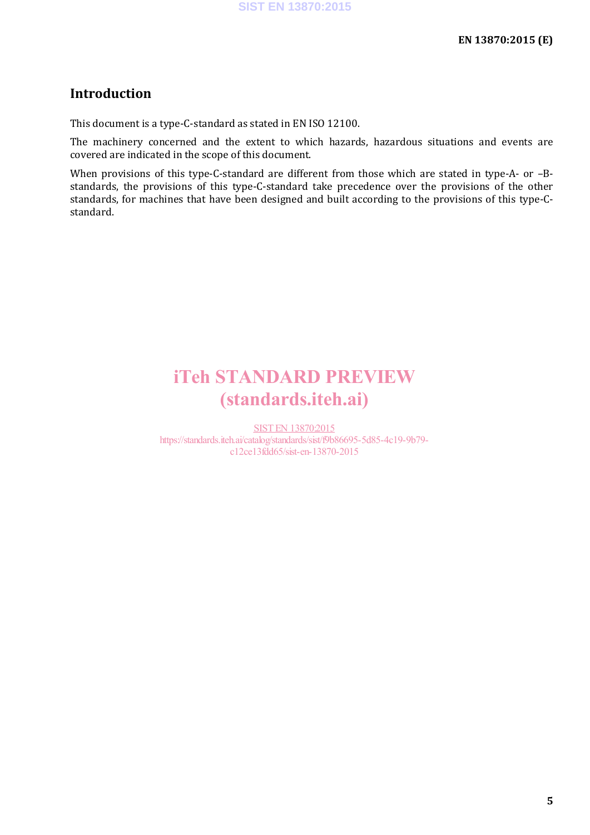### **Introduction**

This document is a type-C-standard as stated in EN ISO 12100.

The machinery concerned and the extent to which hazards, hazardous situations and events are covered are indicated in the scope of this document.

When provisions of this type-C-standard are different from those which are stated in type-A- or -Bstandards, the provisions of this type-C-standard take precedence over the provisions of the other standards, for machines that have been designed and built according to the provisions of this type-Cstandard.

## iTeh STANDARD PREVIEW (standards.iteh.ai)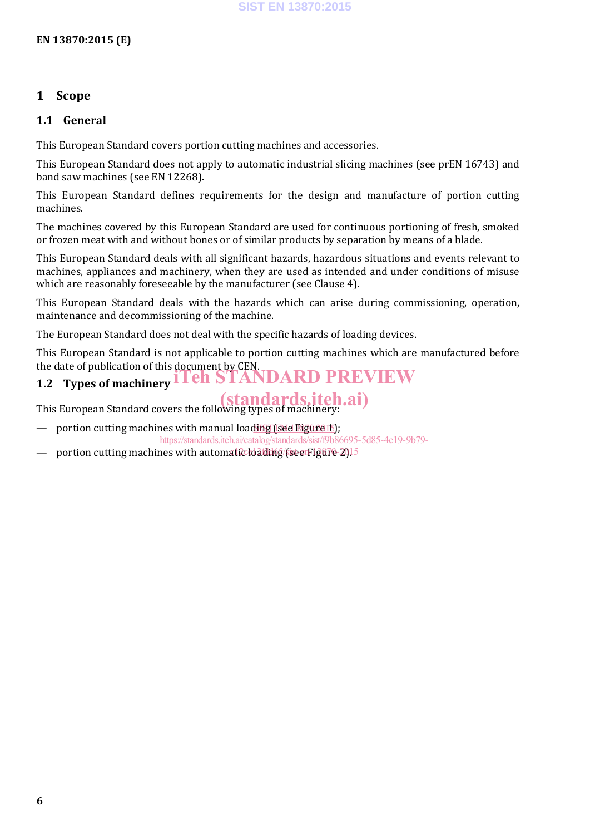### **1 Scope**

#### **1.1 General**

This European Standard covers portion cutting machines and accessories.

This European Standard does not apply to automatic industrial slicing machines (see prEN 16743) and band saw machines (see EN 12268).

This European Standard defines requirements for the design and manufacture of portion cutting machines.

The machines covered by this European Standard are used for continuous portioning of fresh, smoked or frozen meat with and without bones or of similar products by separation by means of a blade.

This European Standard deals with all significant hazards, hazardous situations and events relevant to machines, appliances and machinery, when they are used as intended and under conditions of misuse which are reasonably foreseeable by the manufacturer (see Clause 4).

This European Standard deals with the hazards which can arise during commissioning, operation, maintenance and decommissioning of the machine.

The European Standard does not deal with the specific hazards of loading devices.

This European Standard is not applicable to portion cutting machines which are manufactured before the date of publication of this document by CEN. **STANDARD PREVIEW** 

## **1.2 Types of machinery**

This European Standard covers the following types of machinery:

— portion cutting machines with manual loading (see Figure 15);

https://standards.iteh.ai/catalog/standards/sist/f9b86695-5d85-4c19-9b79-

 $-$  portion cutting machines with automatic loading (see Figure 2).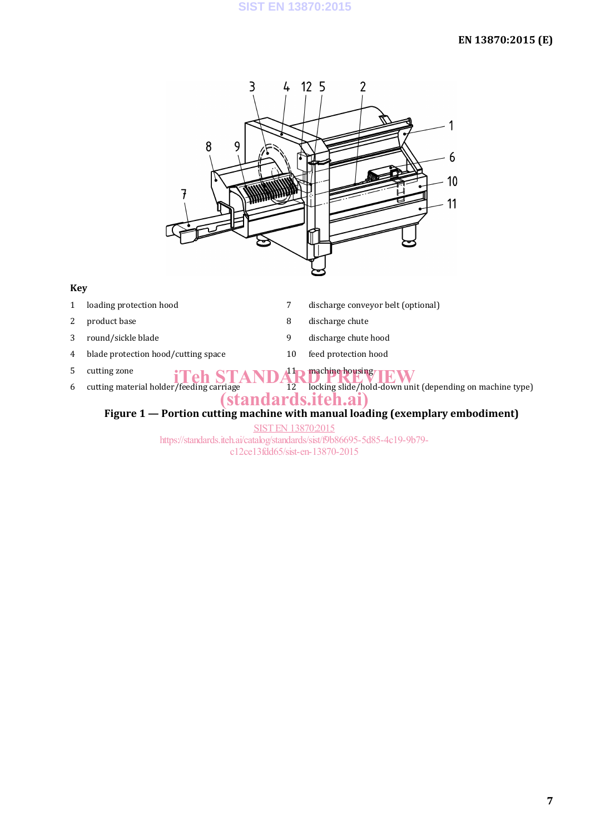

#### **Key**

- 
- 
- 
- 4 blade protection hood/cutting space 10 feed protection hood
- 
- 
- 1 loading protection hood 2 and 2 discharge conveyor belt (optional)
- 2 product base 8 discharge chute
- 3 round/sickle blade 9 discharge chute hood
	-

### 5 cutting zone  $\prod_{\text{cutting material holder/feeding carriage}} \prod_{\text{carriage}} \prod_{12} \prod_{12} \prod_{12}$ machine housing TRW

6 cutting material holder/feeding carriage 12 locking slide/hold-down unit (depending on machine type) (standards.iteh.ai)

### **Figure 1 — Portion cutting machine with manual loading (exemplary embodiment)**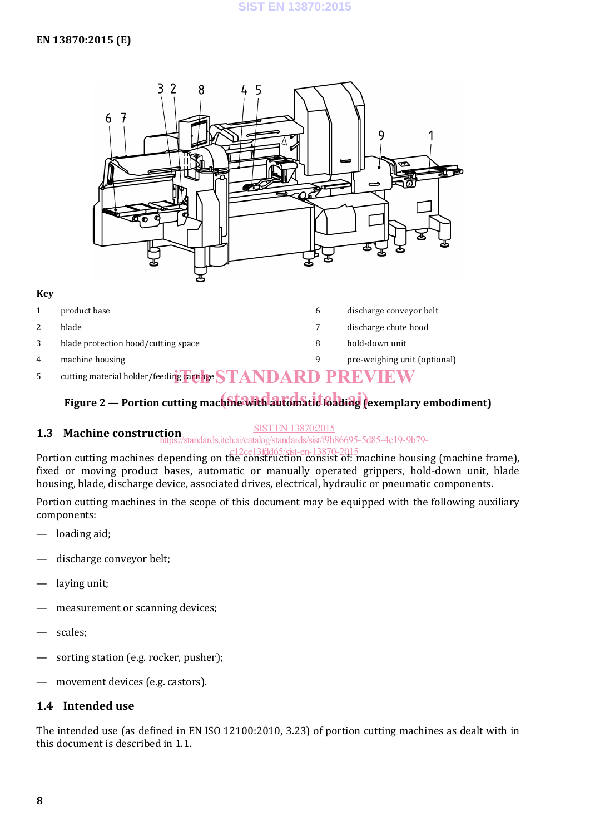

#### **Key**

- 1 product base **6** discharge conveyor belt 2 blade 7 discharge chute hood 3 blade protection hood/cutting space 8 hold-down unit 4 machine housing pre-weighing unit (optional) and the pre-weighing unit (optional)
- 5 cutting material holder/feeding carriage  $\operatorname{STANDARD}$  PREVIEW

## Figure 2 — Portion cutting machine with automatic loading (exemplary embodiment)

#### SIST EN 13870:2015

#### **1.3 Machine construction** https://standards.iteh.ai/catalog/standards/sist/f9b86695-5d85-4c19-9b79-

Portion cutting machines depending on the construction consist of: machine housing (machine frame), fixed or moving product bases, automatic or manually operated grippers, hold-down unit, blade housing, blade, discharge device, associated drives, electrical, hydraulic or pneumatic components. c12ce13fdd65/sist-en-13870-2015

Portion cutting machines in the scope of this document may be equipped with the following auxiliary components:

- loading aid;
- discharge conveyor belt;
- laving unit:
- measurement or scanning devices;
- scales;
- sorting station (e.g. rocker, pusher);
- movement devices (e.g. castors).

#### **1.4 Intended use**

The intended use (as defined in EN ISO 12100:2010, 3.23) of portion cutting machines as dealt with in this document is described in 1.1.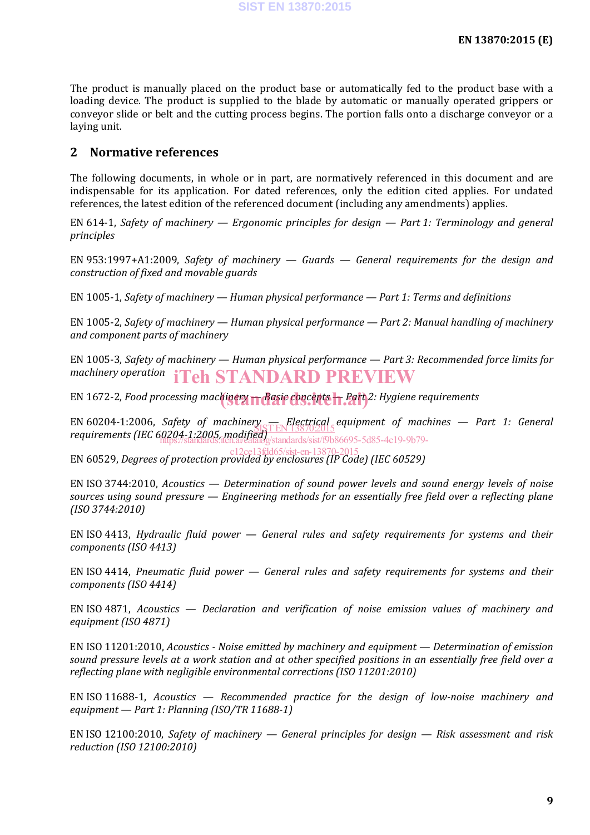The product is manually placed on the product base or automatically fed to the product base with a loading device. The product is supplied to the blade by automatic or manually operated grippers or conveyor slide or belt and the cutting process begins. The portion falls onto a discharge conveyor or a laying unit.

#### **2 Normative references**

The following documents, in whole or in part, are normatively referenced in this document and are indispensable for its application. For dated references, only the edition cited applies. For undated references, the latest edition of the referenced document (including any amendments) applies.

EN 614-1, *Safety of machinery — Ergonomic principles for design — Part 1: Terminology and general principles*

EN 953:1997+A1:2009, *Safety of machinery — Guards — General requirements for the design and construction of fixed and movable guards*

EN 1005-1, *Safety of machinery — Human physical performance — Part 1: Terms and definitions*

EN 1005-2, *Safety of machinery — Human physical performance — Part 2: Manual handling of machinery and component parts of machinery*

EN 1005-3, *Safety of machinery — Human physical performance — Part 3: Recommended force limits for machinery operation* iTeh STANDARD PREVIEW

EN 1672-2, *Food processing machinery — Basic concepts — Part 2: Hygiene requirements* (standards.iteh.ai)

EN 60204-1:2006, *Safety of machinery* — *Electrical equipment of machines — Part 1: General* <br>requirements (IEC 60204-1:2005 modifient 18870:2015 *requirements (IEC 60204-1:2005, modified)* https://standards.iteh.ai/catalog/standards/sist/f9b86695-5d85-4c19-9b79-

EN 60529, *Degrees of protection provided by enclosures (IP Code) (IEC 60529)* c12ce13fdd65/sist-en-13870-2015

EN ISO 3744:2010, *Acoustics — Determination of sound power levels and sound energy levels of noise sources using sound pressure — Engineering methods for an essentially free field over a reflecting plane (ISO 3744:2010)*

EN ISO 4413, *Hydraulic fluid power — General rules and safety requirements for systems and their components (ISO 4413)*

EN ISO 4414, *Pneumatic fluid power — General rules and safety requirements for systems and their components (ISO 4414)*

EN ISO 4871, *Acoustics — Declaration and verification of noise emission values of machinery and equipment (ISO 4871)*

EN ISO 11201:2010, *Acoustics - Noise emitted by machinery and equipment — Determination of emission sound pressure levels at a work station and at other specified positions in an essentially free field over a reflecting plane with negligible environmental corrections (ISO 11201:2010)*

EN ISO 11688-1, *Acoustics — Recommended practice for the design of low-noise machinery and equipment — Part 1: Planning (ISO/TR 11688-1)*

EN ISO 12100:2010, *Safety of machinery — General principles for design — Risk assessment and risk reduction (ISO 12100:2010)*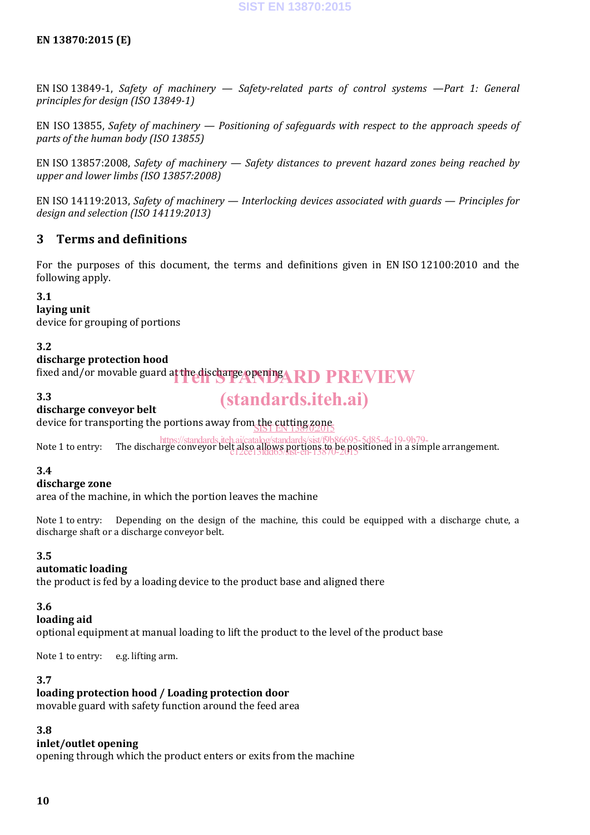#### **EN 13870:2015 (E)**

EN ISO 13849-1, *Safety of machinery — Safety-related parts of control systems —Part 1: General principles for design (ISO 13849-1)*

EN ISO 13855, *Safety of machinery — Positioning of safeguards with respect to the approach speeds of parts of the human body (ISO 13855)*

EN ISO 13857:2008, *Safety of machinery — Safety distances to prevent hazard zones being reached by upper and lower limbs (ISO 13857:2008)*

EN ISO 14119:2013, *Safety of machinery — Interlocking devices associated with guards — Principles for design and selection (ISO 14119:2013)*

#### **3 Terms and definitions**

For the purposes of this document, the terms and definitions given in EN ISO 12100:2010 and the following apply.

#### **3.1**

**laying unit**

device for grouping of portions

#### **3.2**

#### **discharge protection hood**

fixed and/or movable guard at the discharge opening **ARD PREVIEW** 

**3.3**

## (standards.iteh.ai)

**discharge conveyor belt**

device for transporting the portions away from the cutting zone SIST EN 13870:2015 https://standards.iteh.ai/catalog/standards/sist/f9b86695-5d85-4c19-9b79-

Note 1 to entry: The discharge conveyor belt also allows portions to be positioned in a simple arrangement. c12ce13fdd65/sist-en-13870-2015

#### **3.4**

#### **discharge zone**

area of the machine, in which the portion leaves the machine

Note 1 to entry: Depending on the design of the machine, this could be equipped with a discharge chute, a discharge shaft or a discharge conveyor belt.

#### **3.5**

#### **automatic loading**

the product is fed by a loading device to the product base and aligned there

#### **3.6**

#### **loading aid**

optional equipment at manual loading to lift the product to the level of the product base

Note 1 to entry: e.g. lifting arm.

#### **3.7**

#### **loading protection hood / Loading protection door**

movable guard with safety function around the feed area

### **3.8**

### **inlet/outlet opening**

opening through which the product enters or exits from the machine